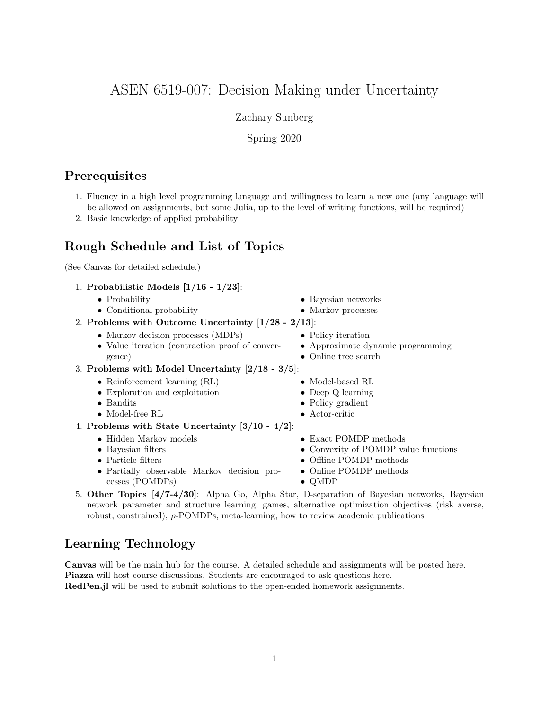# ASEN 6519-007: Decision Making under Uncertainty

Zachary Sunberg

Spring 2020

## **Prerequisites**

1. Fluency in a high level programming language and willingness to learn a new one (any language will be allowed on assignments, but some Julia, up to the level of writing functions, will be required)

• Policy iteration

• Online tree search

• Model-based RL • Deep Q learning • Policy gradient • Actor-critic

• Exact POMDP methods

• Offline POMDP methods

• Approximate dynamic programming

• Convexity of POMDP value functions

2. Basic knowledge of applied probability

## Rough Schedule and List of Topics

(See Canvas for detailed schedule.)

- 1. Probabilistic Models [1/16 1/23]:
	- Probability • Conditional probability • Bayesian networks • Markov processes
- 2. Problems with Outcome Uncertainty [1/28 2/13]:
	- Markov decision processes (MDPs)
	- Value iteration (contraction proof of convergence)
- 3. Problems with Model Uncertainty [2/18 3/5]:
	- Reinforcement learning  $(RL)$
	- Exploration and exploitation
	- Bandits
	- Model-free RL
- 4. Problems with State Uncertainty [3/10 4/2]:
	- Hidden Markov models
	- Bayesian filters
	- Particle filters
	- Partially observable Markov decision processes (POMDPs)
- Online POMDP methods • QMDP 5. Other Topics [4/7-4/30]: Alpha Go, Alpha Star, D-separation of Bayesian networks, Bayesian
- network parameter and structure learning, games, alternative optimization objectives (risk averse, robust, constrained), ρ-POMDPs, meta-learning, how to review academic publications

# Learning Technology

Canvas will be the main hub for the course. A detailed schedule and assignments will be posted here. Piazza will host course discussions. Students are encouraged to ask questions here. RedPen.jl will be used to submit solutions to the open-ended homework assignments.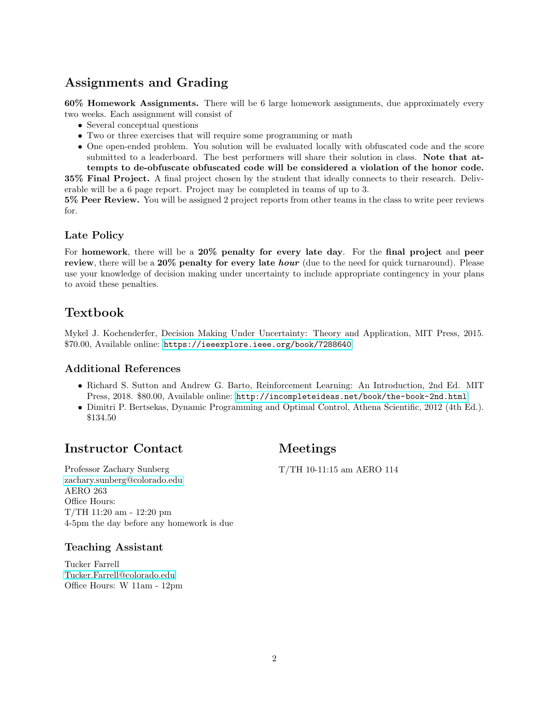# Assignments and Grading

60% Homework Assignments. There will be 6 large homework assignments, due approximately every two weeks. Each assignment will consist of

- Several conceptual questions
- Two or three exercises that will require some programming or math
- One open-ended problem. You solution will be evaluated locally with obfuscated code and the score submitted to a leaderboard. The best performers will share their solution in class. Note that attempts to de-obfuscate obfuscated code will be considered a violation of the honor code.

35% Final Project. A final project chosen by the student that ideally connects to their research. Deliverable will be a 6 page report. Project may be completed in teams of up to 3.

5% Peer Review. You will be assigned 2 project reports from other teams in the class to write peer reviews for.

#### Late Policy

For homework, there will be a 20% penalty for every late day. For the final project and peer review, there will be a  $20\%$  penalty for every late *hour* (due to the need for quick turnaround). Please use your knowledge of decision making under uncertainty to include appropriate contingency in your plans to avoid these penalties.

## Textbook

Mykel J. Kochenderfer, Decision Making Under Uncertainty: Theory and Application, MIT Press, 2015. \$70.00, Available online: <https://ieeexplore.ieee.org/book/7288640>

## Additional References

- Richard S. Sutton and Andrew G. Barto, Reinforcement Learning: An Introduction, 2nd Ed. MIT Press, 2018. \$80.00, Available online: <http://incompleteideas.net/book/the-book-2nd.html>
- Dimitri P. Bertsekas, Dynamic Programming and Optimal Control, Athena Scientific, 2012 (4th Ed.). \$134.50

# Instructor Contact

## Meetings

T/TH 10-11:15 am AERO 114

Professor Zachary Sunberg [zachary.sunberg@colorado.edu](mailto://zachary.sunberg@colorado.edu) AERO 263 Office Hours: T/TH 11:20 am - 12:20 pm 4-5pm the day before any homework is due

## Teaching Assistant

Tucker Farrell [Tucker.Farrell@colorado.edu](mailto://Tucker.Farrell@colorado.edu) Office Hours: W 11am - 12pm